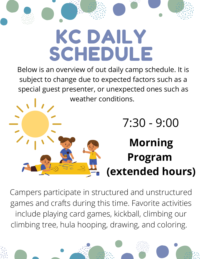# KC DAILY SCHEDULE

Below is an overview of out daily camp schedule. It is subject to change due to expected factors such as a special guest presenter, or unexpected ones such as weather conditions.

### 7:30 - 9:00 **Morning Program (extended hours)**

Campers participate in structured and unstructured games and crafts during this time. Favorite activities include playing card games, kickball, climbing our climbing tree, hula hooping, drawing, and coloring.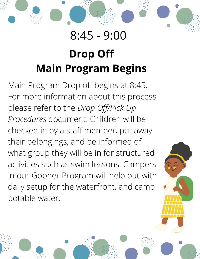### 8:45 - 9:00

### **Drop Off Main Program Begins**

Main Program Drop off begins at 8:45. For more information about this process please refer to the *Drop Off/Pick Up Procedures* document. Children will be checked in by a staff member, put away their belongings, and be informed of what group they will be in for structured activities such as swim lessons. Campers in our Gopher Program will help out with daily setup for the waterfront, and camp potable water.



V O L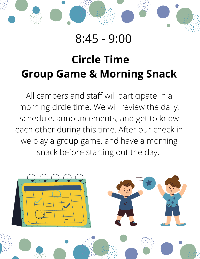### 8:45 - 9:00

V O L

### **Circle Time Group Game & Morning Snack**

All campers and staff will participate in a morning circle time. We will review the daily, schedule, announcements, and get to know each other during this time. After our check in we play a group game, and have a morning snack before starting out the day.

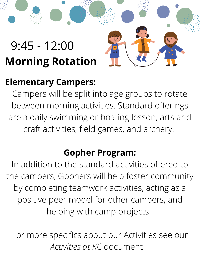### 9:45 - 12:00 **Morning Rotation**

#### **Elementary Campers:**

Campers will be split into age groups to rotate between morning activities. Standard offerings are a daily swimming or boating lesson, arts and craft activities, field games, and archery.

V O L

#### **Gopher Program:**

In addition to the standard activities offered to the campers, Gophers will help foster community by completing teamwork activities, acting as a positive peer model for other campers, and helping with camp projects.

For more specifics about our Activities see our *Activities at KC* document.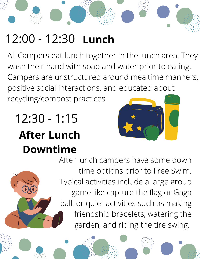### 12:00 - 12:30 **Lunch**

All Campers eat lunch together in the lunch area. They wash their hand with soap and water prior to eating. Campers are unstructured around mealtime manners, positive social interactions, and educated about recycling/compost practices

## 12:30 - 1:15 **After Lunch Downtime**



V O L

After lunch campers have some down time options prior to Free Swim. Typical activities include a large group game like capture the flag or Gaga ball, or quiet activities such as making friendship bracelets, watering the garden, and riding the tire swing.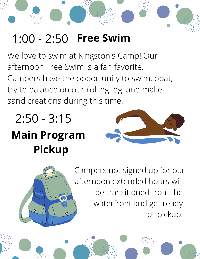### 1:00 - 2:50 **Free Swim**

We love to swim at Kingston's Camp! Our afternoon Free Swim is a fan favorite. Campers have the opportunity to swim, boat, try to balance on our rolling log, and make sand creations during this time.

### **Main Program Pickup** 2:50 - 3:15



V O L



Campers not signed up for our afternoon extended hours will be transitioned from the waterfront and get ready for pickup.